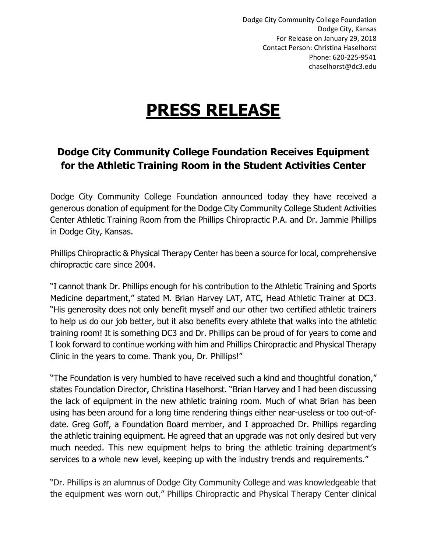Dodge City Community College Foundation Dodge City, Kansas For Release on January 29, 2018 Contact Person: Christina Haselhorst Phone: 620-225-9541 chaselhorst@dc3.edu

## **PRESS RELEASE**

## **Dodge City Community College Foundation Receives Equipment for the Athletic Training Room in the Student Activities Center**

Dodge City Community College Foundation announced today they have received a generous donation of equipment for the Dodge City Community College Student Activities Center Athletic Training Room from the Phillips Chiropractic P.A. and Dr. Jammie Phillips in Dodge City, Kansas.

Phillips Chiropractic & Physical Therapy Center has been a source for local, comprehensive chiropractic care since 2004.

"I cannot thank Dr. Phillips enough for his contribution to the Athletic Training and Sports Medicine department," stated M. Brian Harvey LAT, ATC, Head Athletic Trainer at DC3. "His generosity does not only benefit myself and our other two certified athletic trainers to help us do our job better, but it also benefits every athlete that walks into the athletic training room! It is something DC3 and Dr. Phillips can be proud of for years to come and I look forward to continue working with him and Phillips Chiropractic and Physical Therapy Clinic in the years to come. Thank you, Dr. Phillips!"

"The Foundation is very humbled to have received such a kind and thoughtful donation," states Foundation Director, Christina Haselhorst. "Brian Harvey and I had been discussing the lack of equipment in the new athletic training room. Much of what Brian has been using has been around for a long time rendering things either near-useless or too out-ofdate. Greg Goff, a Foundation Board member, and I approached Dr. Phillips regarding the athletic training equipment. He agreed that an upgrade was not only desired but very much needed. This new equipment helps to bring the athletic training department's services to a whole new level, keeping up with the industry trends and requirements."

"Dr. Phillips is an alumnus of Dodge City Community College and was knowledgeable that the equipment was worn out," Phillips Chiropractic and Physical Therapy Center clinical